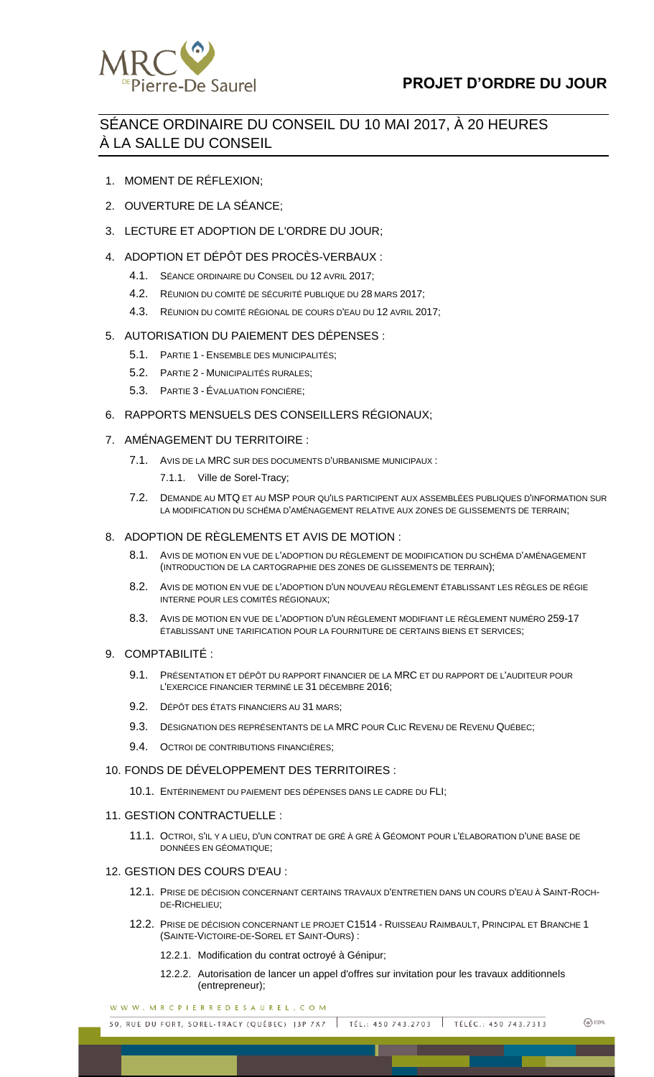

# SÉANCE ORDINAIRE DU CONSEIL DU 10 MAI 2017, À 20 HEURES À LA SALLE DU CONSEIL

- 1. MOMENT DE RÉFLEXION;
- 2. OUVERTURE DE LA SÉANCE;
- 3. LECTURE ET ADOPTION DE L'ORDRE DU JOUR;
- 4. ADOPTION ET DÉPÔT DES PROCÈS-VERBAUX :
	- 4.1. SÉANCE ORDINAIRE DU CONSEIL DU 12 AVRIL 2017;
	- 4.2. RÉUNION DU COMITÉ DE SÉCURITÉ PUBLIQUE DU 28 MARS 2017;
	- 4.3. RÉUNION DU COMITÉ RÉGIONAL DE COURS D'EAU DU 12 AVRIL 2017;

# 5. AUTORISATION DU PAIEMENT DES DÉPENSES :

- 5.1. PARTIE 1 ENSEMBLE DES MUNICIPALITÉS;
- 5.2. PARTIE 2 MUNICIPALITÉS RURALES;
- 5.3. PARTIE 3 ÉVALUATION FONCIÈRE;

## 6. RAPPORTS MENSUELS DES CONSEILLERS RÉGIONAUX;

- 7. AMÉNAGEMENT DU TERRITOIRE :
	- 7.1. AVIS DE LA MRC SUR DES DOCUMENTS D'URBANISME MUNICIPAUX :
		- 7.1.1. Ville de Sorel-Tracy;
	- 7.2. DEMANDE AU MTQ ET AU MSP POUR QU'ILS PARTICIPENT AUX ASSEMBLÉES PUBLIQUES D'INFORMATION SUR LA MODIFICATION DU SCHÉMA D'AMÉNAGEMENT RELATIVE AUX ZONES DE GLISSEMENTS DE TERRAIN;

#### 8. ADOPTION DE RÈGI EMENTS ET AVIS DE MOTION :

- 8.1. AVIS DE MOTION EN VUE DE L'ADOPTION DU RÈGLEMENT DE MODIFICATION DU SCHÉMA D'AMÉNAGEMENT (INTRODUCTION DE LA CARTOGRAPHIE DES ZONES DE GLISSEMENTS DE TERRAIN);
- 8.2. AVIS DE MOTION EN VUE DE L'ADOPTION D'UN NOUVEAU RÈGLEMENT ÉTABLISSANT LES RÈGLES DE RÉGIE INTERNE POUR LES COMITÉS RÉGIONAUX;
- 8.3. AVIS DE MOTION EN VUE DE L'ADOPTION D'UN RÈGLEMENT MODIFIANT LE RÈGLEMENT NUMÉRO 259-17 ÉTABLISSANT UNE TARIFICATION POUR LA FOURNITURE DE CERTAINS BIENS ET SERVICES;
- 9. COMPTABILITÉ :
	- 9.1. PRÉSENTATION ET DÉPÔT DU RAPPORT FINANCIER DE LA MRC ET DU RAPPORT DE L'AUDITEUR POUR L'EXERCICE FINANCIER TERMINÉ LE 31 DÉCEMBRE 2016;
	- 9.2. DÉPÔT DES ÉTATS FINANCIERS AU 31 MARS;
	- 9.3. DÉSIGNATION DES REPRÉSENTANTS DE LA MRC POUR CLIC REVENU DE REVENU QUÉBEC;
	- 9.4. OCTROI DE CONTRIBUTIONS FINANCIÈRES;
- 10. FONDS DE DÉVELOPPEMENT DES TERRITOIRES :
	- 10.1. ENTÉRINEMENT DU PAIEMENT DES DÉPENSES DANS LE CADRE DU FLI;
- 11. GESTION CONTRACTUELLE :
	- 11.1. OCTROI, S'IL Y A LIEU, D'UN CONTRAT DE GRÉ À GRÉ À GÉOMONT POUR L'ÉLABORATION D'UNE BASE DE DONNÉES EN GÉOMATIQUE;

## 12. GESTION DES COURS D'EAU :

- 12.1. PRISE DE DÉCISION CONCERNANT CERTAINS TRAVAUX D'ENTRETIEN DANS UN COURS D'EAU À SAINT-ROCH-DE-RICHELIEU;
- 12.2. PRISE DE DÉCISION CONCERNANT LE PROJET C1514 RUISSEAU RAIMBAULT, PRINCIPAL ET BRANCHE 1 (SAINTE-VICTOIRE-DE-SOREL ET SAINT-OURS) :
	- 12.2.1. Modification du contrat octroyé à Génipur;
	- 12.2.2. Autorisation de lancer un appel d'offres sur invitation pour les travaux additionnels (entrepreneur);

WWW.MRCPIERREDESAUREL.COM

50, RUE DU FORT, SOREL-TRACY (QUÉBEC) J3P 7X7 TÉL.: 450 743.2703 | TÉLÉC.: 450 743.7313